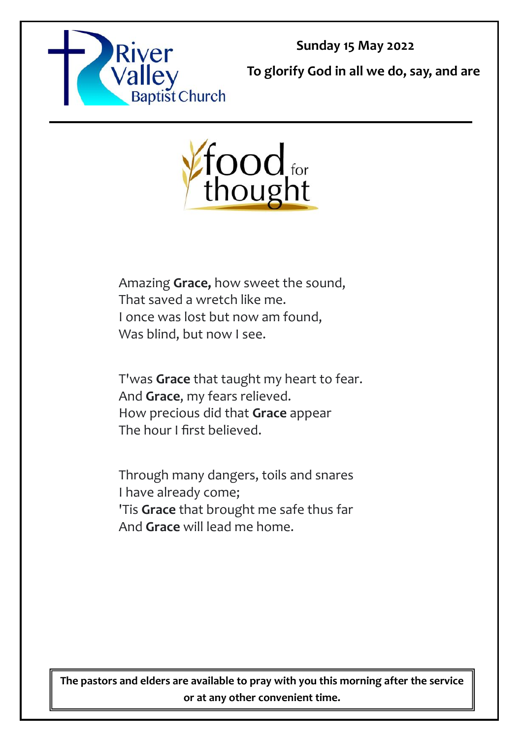

**Sunday 15 May 2022**

**To glorify God in all we do, say, and are** 



Amazing **Grace,** how sweet the sound, That saved a wretch like me. I once was lost but now am found, Was blind, but now I see.

T'was **Grace** that taught my heart to fear. And **Grace**, my fears relieved. How precious did that **Grace** appear The hour I first believed.

Through many dangers, toils and snares I have already come; 'Tis **Grace** that brought me safe thus far And **Grace** will lead me home.

**The pastors and elders are available to pray with you this morning after the service or at any other convenient time.**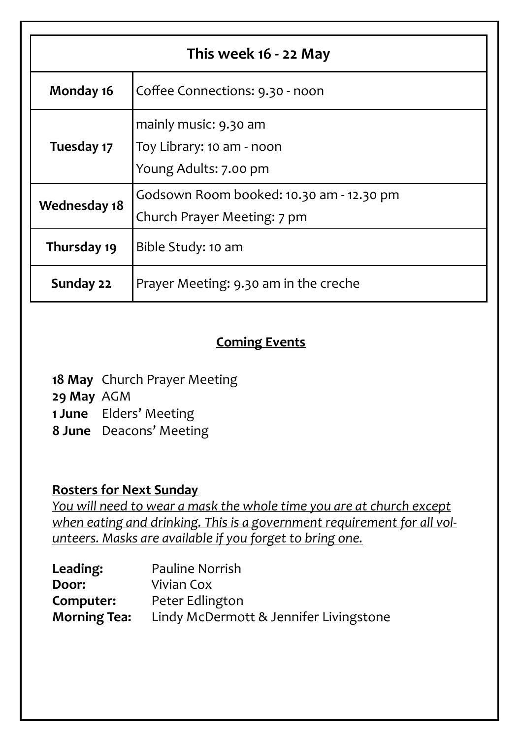| This week 16 - 22 May |                                                                             |  |
|-----------------------|-----------------------------------------------------------------------------|--|
| Monday 16             | Coffee Connections: 9.30 - noon                                             |  |
| Tuesday 17            | mainly music: 9.30 am<br>Toy Library: 10 am - noon<br>Young Adults: 7.00 pm |  |
| <b>Wednesday 18</b>   | Godsown Room booked: 10.30 am - 12.30 pm<br>Church Prayer Meeting: 7 pm     |  |
| Thursday 19           | Bible Study: 10 am                                                          |  |
| Sunday 22             | Prayer Meeting: 9.30 am in the creche                                       |  |

## **Coming Events**

**18 May** Church Prayer Meeting **29 May** AGM **1 June** Elders' Meeting **8 June** Deacons' Meeting

## **Rosters for Next Sunday**

*You will need to wear a mask the whole time you are at church except when eating and drinking. This is a government requirement for all volunteers. Masks are available if you forget to bring one.*

| Leading:            | <b>Pauline Norrish</b>                 |  |
|---------------------|----------------------------------------|--|
| Door:               | Vivian Cox                             |  |
| Computer:           | Peter Edlington                        |  |
| <b>Morning Tea:</b> | Lindy McDermott & Jennifer Livingstone |  |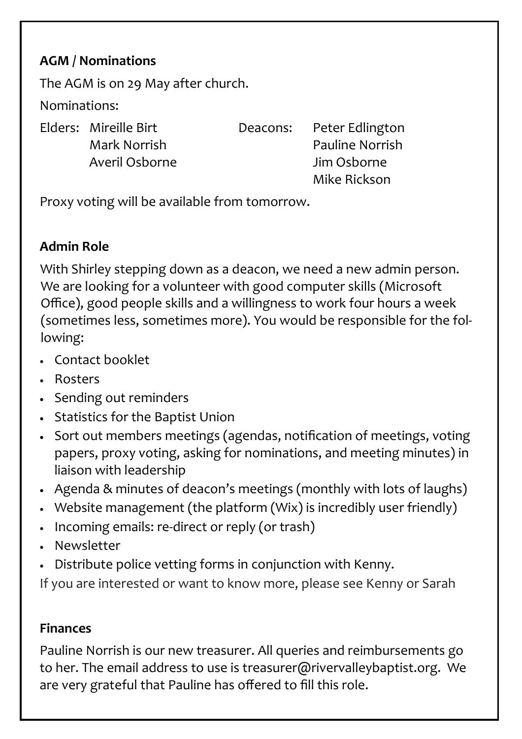# **AGM / Nominations**

The AGM is on 29 May after church.

Nominations:

Elders: Mireille Birt Deacons: Peter Edlington

Mark Norrish Pauline Norrish Averil Osborne Jim Osborne Mike Rickson

Proxy voting will be available from tomorrow.

## **Admin Role**

With Shirley stepping down as a deacon, we need a new admin person. We are looking for a volunteer with good computer skills (Microsoft Office), good people skills and a willingness to work four hours a week (sometimes less, sometimes more). You would be responsible for the following:

- Contact booklet
- Rosters
- Sending out reminders
- Statistics for the Baptist Union
- Sort out members meetings (agendas, notification of meetings, voting papers, proxy voting, asking for nominations, and meeting minutes) in liaison with leadership
- Agenda & minutes of deacon's meetings (monthly with lots of laughs)
- Website management (the platform (Wix) is incredibly user friendly)
- Incoming emails: re-direct or reply (or trash)
- Newsletter
- Distribute police vetting forms in conjunction with Kenny.

If you are interested or want to know more, please see Kenny or Sarah

## **Finances**

Pauline Norrish is our new treasurer. All queries and reimbursements go to her. The email address to use is treasurer@rivervalleybaptist.org. We are very grateful that Pauline has offered to fill this role.